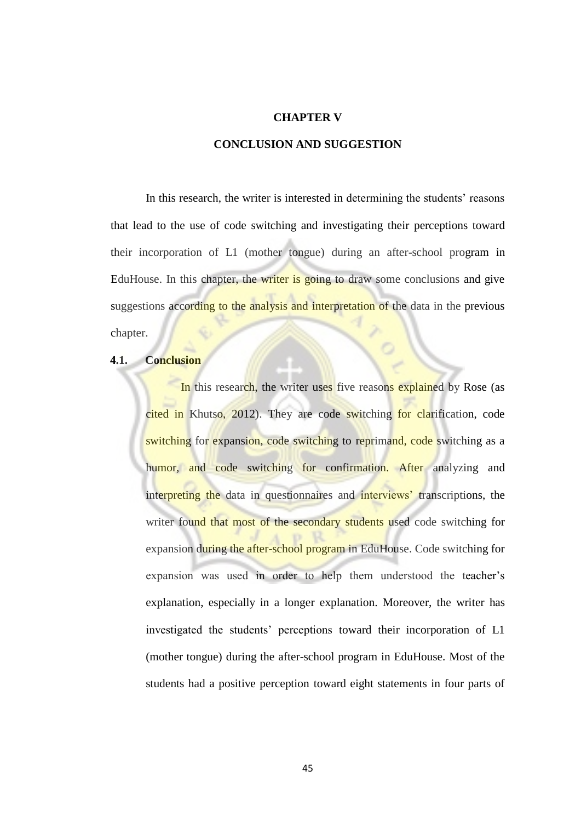## **CHAPTER V**

## **CONCLUSION AND SUGGESTION**

In this research, the writer is interested in determining the students' reasons that lead to the use of code switching and investigating their perceptions toward their incorporation of L1 (mother tongue) during an after-school program in EduHouse. In this chapter, the writer is going to draw some conclusions and give suggestions according to the analysis and interpretation of the data in the previous chapter.

## **4.1. Conclusion**

In this research, the writer uses five reasons explained by Rose (as cited in Khutso, 2012). They are code switching for clarification, code switching for expansion, code switching to reprimand, code switching as a humor, and code switching for confirmation. After analyzing and interpreting the data in questionnaires and interviews' transcriptions, the writer found that most of the secondary students used code switching for expansion during the after-school program in EduHouse. Code switching for expansion was used in order to help them understood the teacher"s explanation, especially in a longer explanation. Moreover, the writer has investigated the students" perceptions toward their incorporation of L1 (mother tongue) during the after-school program in EduHouse. Most of the students had a positive perception toward eight statements in four parts of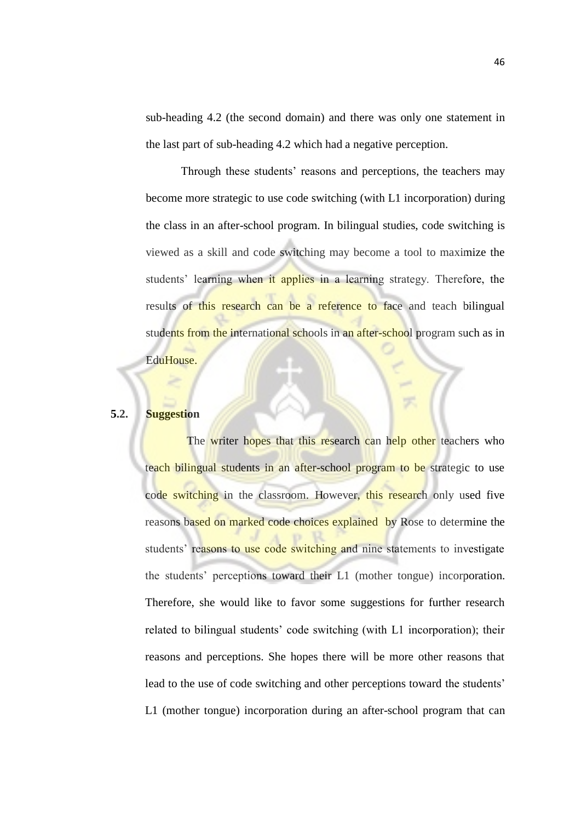sub-heading 4.2 (the second domain) and there was only one statement in the last part of sub-heading 4.2 which had a negative perception.

Through these students' reasons and perceptions, the teachers may become more strategic to use code switching (with L1 incorporation) during the class in an after-school program. In bilingual studies, code switching is viewed as a skill and code switching may become a tool to maximize the students' learning when it applies in a learning strategy. Therefore, the results of this research can be a reference to face and teach bilingual students from the international schools in an after-school program such as in EduHouse.

## **5.2. Suggestion**

The writer hopes that this research can help other teachers who teach bilingual students in an after-school program to be strategic to use code switching in the classroom. However, this research only used five reasons based on marked code choices explained by Rose to determine the students' reasons to use code switching and nine statements to investigate the students" perceptions toward their L1 (mother tongue) incorporation. Therefore, she would like to favor some suggestions for further research related to bilingual students" code switching (with L1 incorporation); their reasons and perceptions. She hopes there will be more other reasons that lead to the use of code switching and other perceptions toward the students' L1 (mother tongue) incorporation during an after-school program that can